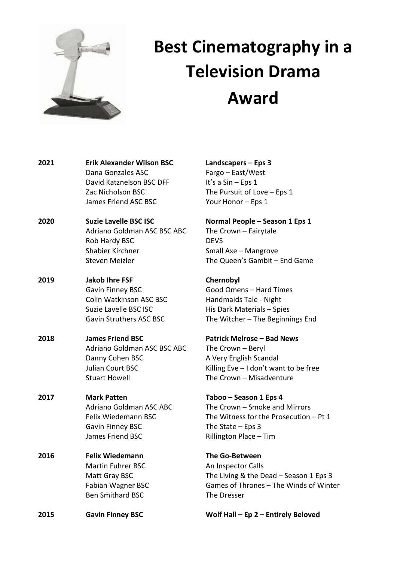

# **Best Cinematography in a Television Drama Award**

**2021 Erik Alexander Wilson BSC Landscapers – Eps 3** Dana Gonzales ASC Fargo – East/West David Katznelson BSC DFF It's a Sin – Eps 1 Zac Nicholson BSC The Pursuit of Love – Eps 1 James Friend ASC BSC Your Honor – Eps 1 **2020 Suzie Lavelle BSC ISC Normal People – Season 1 Eps 1** Adriano Goldman ASC BSC ABC The Crown - Fairytale Rob Hardy BSC DEVS Shabier Kirchner Shabier Kirchner Small Axe – Mangrove Steven Meizler The Queen's Gambit – End Game **2019 Jakob Ihre FSF Chernobyl** Gavin Finney BSC Good Omens – Hard Times Colin Watkinson ASC BSC Handmaids Tale - Night Suzie Lavelle BSC ISC His Dark Materials – Spies Gavin Struthers ASC BSC The Witcher – The Beginnings End **2018 James Friend BSC Patrick Melrose – Bad News** Adriano Goldman ASC BSC ABC The Crown – Beryl Danny Cohen BSC A Very English Scandal Julian Court BSC Killing Eve – I don't want to be free Stuart Howell **The Crown – Misadventure 2017 Mark Patten Taboo – Season 1 Eps 4** Adriano Goldman ASC ABC The Crown – Smoke and Mirrors Gavin Finney BSC The State – Eps 3 James Friend BSC Rillington Place – Tim **2016 Felix Wiedemann The Go-Between** Martin Fuhrer BSC An Inspector Calls Ben Smithard BSC The Dresser **2015 Gavin Finney BSC Wolf Hall – Ep 2 – Entirely Beloved** 

Felix Wiedemann BSC The Witness for the Prosecution – Pt 1

Matt Gray BSC The Living & the Dead – Season 1 Eps 3 Fabian Wagner BSC Games of Thrones – The Winds of Winter